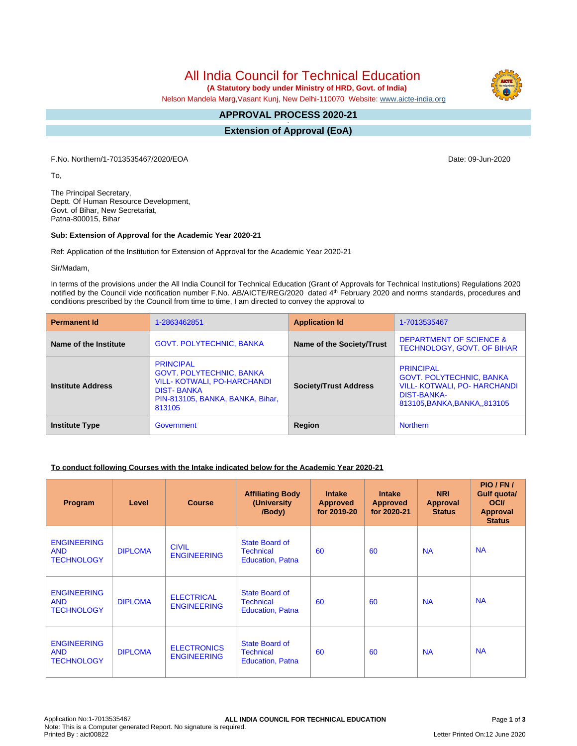All India Council for Technical Education

 **(A Statutory body under Ministry of HRD, Govt. of India)**

Nelson Mandela Marg,Vasant Kunj, New Delhi-110070 Website: [www.aicte-india.org](http://www.aicte-india.org)

#### **APPROVAL PROCESS 2020-21 -**

**Extension of Approval (EoA)**

F.No. Northern/1-7013535467/2020/EOA Date: 09-Jun-2020

To,

The Principal Secretary, Deptt. Of Human Resource Development, Govt. of Bihar, New Secretariat, Patna-800015, Bihar

#### **Sub: Extension of Approval for the Academic Year 2020-21**

Ref: Application of the Institution for Extension of Approval for the Academic Year 2020-21

Sir/Madam,

In terms of the provisions under the All India Council for Technical Education (Grant of Approvals for Technical Institutions) Regulations 2020 notified by the Council vide notification number F.No. AB/AICTE/REG/2020 dated 4<sup>th</sup> February 2020 and norms standards, procedures and conditions prescribed by the Council from time to time, I am directed to convey the approval to

| <b>Permanent Id</b>      | 1-2863462851                                                                                                                                                 | <b>Application Id</b>        | 1-7013535467                                                                                                                                     |
|--------------------------|--------------------------------------------------------------------------------------------------------------------------------------------------------------|------------------------------|--------------------------------------------------------------------------------------------------------------------------------------------------|
| Name of the Institute    | <b>GOVT. POLYTECHNIC, BANKA</b>                                                                                                                              | Name of the Society/Trust    | <b>DEPARTMENT OF SCIENCE &amp;</b><br><b>TECHNOLOGY, GOVT. OF BIHAR</b>                                                                          |
| <b>Institute Address</b> | <b>PRINCIPAL</b><br><b>GOVT. POLYTECHNIC, BANKA</b><br><b>VILL- KOTWALI, PO-HARCHANDI</b><br><b>DIST-BANKA</b><br>PIN-813105, BANKA, BANKA, Bihar,<br>813105 | <b>Society/Trust Address</b> | <b>PRINCIPAL</b><br><b>GOVT. POLYTECHNIC, BANKA</b><br><b>VILL- KOTWALI, PO- HARCHANDI</b><br><b>DIST-BANKA-</b><br>813105, BANKA, BANKA, 813105 |
| <b>Institute Type</b>    | Government                                                                                                                                                   | Region                       | <b>Northern</b>                                                                                                                                  |

## **To conduct following Courses with the Intake indicated below for the Academic Year 2020-21**

| Program                                               | Level          | <b>Course</b>                            | <b>Affiliating Body</b><br>(University)<br>/Body)                    | <b>Intake</b><br><b>Approved</b><br>for 2019-20 | <b>Intake</b><br><b>Approved</b><br>for 2020-21 | <b>NRI</b><br><b>Approval</b><br><b>Status</b> | PIO/FN/<br><b>Gulf quota/</b><br><b>OCI</b><br><b>Approval</b><br><b>Status</b> |
|-------------------------------------------------------|----------------|------------------------------------------|----------------------------------------------------------------------|-------------------------------------------------|-------------------------------------------------|------------------------------------------------|---------------------------------------------------------------------------------|
| <b>ENGINEERING</b><br><b>AND</b><br><b>TECHNOLOGY</b> | <b>DIPLOMA</b> | <b>CIVIL</b><br><b>ENGINEERING</b>       | State Board of<br><b>Technical</b><br><b>Education, Patna</b>        | 60                                              | 60                                              | <b>NA</b>                                      | <b>NA</b>                                                                       |
| <b>ENGINEERING</b><br><b>AND</b><br><b>TECHNOLOGY</b> | <b>DIPLOMA</b> | <b>ELECTRICAL</b><br><b>ENGINEERING</b>  | <b>State Board of</b><br><b>Technical</b><br><b>Education, Patna</b> | 60                                              | 60                                              | <b>NA</b>                                      | <b>NA</b>                                                                       |
| <b>ENGINEERING</b><br><b>AND</b><br><b>TECHNOLOGY</b> | <b>DIPLOMA</b> | <b>ELECTRONICS</b><br><b>ENGINEERING</b> | State Board of<br><b>Technical</b><br><b>Education, Patna</b>        | 60                                              | 60                                              | <b>NA</b>                                      | <b>NA</b>                                                                       |

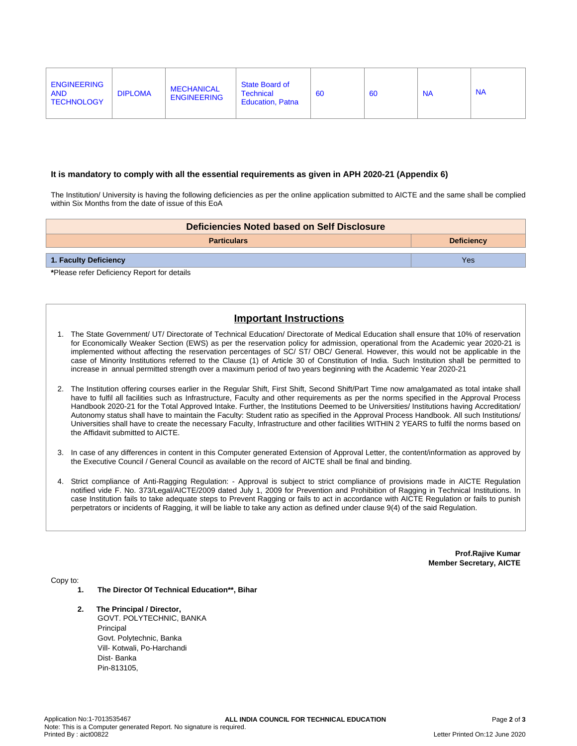| <b>ENGINEERING</b><br><b>AND</b><br><b>TECHNOLOGY</b> | <b>DIPLOMA</b> | <b>MECHANICAL</b><br><b>ENGINEERING</b> | State Board of<br><b>Technical</b><br><b>Education, Patna</b> | <b>60</b> | 60 | <b>NA</b> | <b>NA</b> |
|-------------------------------------------------------|----------------|-----------------------------------------|---------------------------------------------------------------|-----------|----|-----------|-----------|
|                                                       |                |                                         |                                                               |           |    |           |           |

### **It is mandatory to comply with all the essential requirements as given in APH 2020-21 (Appendix 6)**

The Institution/ University is having the following deficiencies as per the online application submitted to AICTE and the same shall be complied within Six Months from the date of issue of this EoA

|                              | Deficiencies Noted based on Self Disclosure |  |  |  |
|------------------------------|---------------------------------------------|--|--|--|
|                              | <b>Deficiency</b><br><b>Particulars</b>     |  |  |  |
| Yes<br>1. Faculty Deficiency |                                             |  |  |  |

**\***Please refer Deficiency Report for details

# **Important Instructions**

- 1. The State Government/ UT/ Directorate of Technical Education/ Directorate of Medical Education shall ensure that 10% of reservation for Economically Weaker Section (EWS) as per the reservation policy for admission, operational from the Academic year 2020-21 is implemented without affecting the reservation percentages of SC/ ST/ OBC/ General. However, this would not be applicable in the case of Minority Institutions referred to the Clause (1) of Article 30 of Constitution of India. Such Institution shall be permitted to increase in annual permitted strength over a maximum period of two years beginning with the Academic Year 2020-21
- 2. The Institution offering courses earlier in the Regular Shift, First Shift, Second Shift/Part Time now amalgamated as total intake shall have to fulfil all facilities such as Infrastructure, Faculty and other requirements as per the norms specified in the Approval Process Handbook 2020-21 for the Total Approved Intake. Further, the Institutions Deemed to be Universities/ Institutions having Accreditation/ Autonomy status shall have to maintain the Faculty: Student ratio as specified in the Approval Process Handbook. All such Institutions/ Universities shall have to create the necessary Faculty, Infrastructure and other facilities WITHIN 2 YEARS to fulfil the norms based on the Affidavit submitted to AICTE.
- 3. In case of any differences in content in this Computer generated Extension of Approval Letter, the content/information as approved by the Executive Council / General Council as available on the record of AICTE shall be final and binding.
- 4. Strict compliance of Anti-Ragging Regulation: Approval is subject to strict compliance of provisions made in AICTE Regulation notified vide F. No. 373/Legal/AICTE/2009 dated July 1, 2009 for Prevention and Prohibition of Ragging in Technical Institutions. In case Institution fails to take adequate steps to Prevent Ragging or fails to act in accordance with AICTE Regulation or fails to punish perpetrators or incidents of Ragging, it will be liable to take any action as defined under clause 9(4) of the said Regulation.

**Prof.Rajive Kumar Member Secretary, AICTE**

Copy to:

- **1. The Director Of Technical Education\*\*, Bihar**
- **2. The Principal / Director,** GOVT. POLYTECHNIC, BANKA Principal Govt. Polytechnic, Banka Vill- Kotwali, Po-Harchandi Dist- Banka Pin-813105,